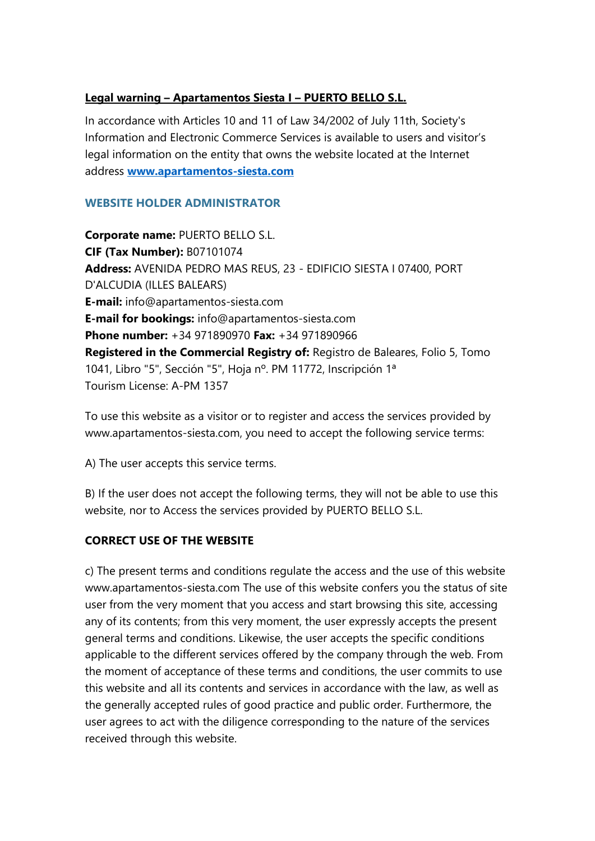## **Legal warning – Apartamentos Siesta I – PUERTO BELLO S.L.**

In accordance with Articles 10 and 11 of Law 34/2002 of July 11th, Society's Information and Electronic Commerce Services is available to users and visitor's legal information on the entity that owns the website located at the Internet address **[www.apartamentos-siesta.com](http://www.apartamentos-siesta.com/)**

#### **WEBSITE HOLDER ADMINISTRATOR**

**Corporate name:** PUERTO BELLO S.L. **CIF (Tax Number):** B07101074 **Address:** AVENIDA PEDRO MAS REUS, 23 - EDIFICIO SIESTA I 07400, PORT D'ALCUDIA (ILLES BALEARS) **E-mail:** info@apartamentos-siesta.com **E-mail for bookings:** info@apartamentos-siesta.com **Phone number:** +34 971890970 **Fax:** +34 971890966 **Registered in the Commercial Registry of:** Registro de Baleares, Folio 5, Tomo 1041, Libro "5", Sección "5", Hoja nº. PM 11772, Inscripción 1ª Tourism License: A-PM 1357

To use this website as a visitor or to register and access the services provided by www.apartamentos-siesta.com, you need to accept the following service terms:

A) The user accepts this service terms.

B) If the user does not accept the following terms, they will not be able to use this website, nor to Access the services provided by PUERTO BELLO S.L.

#### **CORRECT USE OF THE WEBSITE**

c) The present terms and conditions regulate the access and the use of this website www.apartamentos-siesta.com The use of this website confers you the status of site user from the very moment that you access and start browsing this site, accessing any of its contents; from this very moment, the user expressly accepts the present general terms and conditions. Likewise, the user accepts the specific conditions applicable to the different services offered by the company through the web. From the moment of acceptance of these terms and conditions, the user commits to use this website and all its contents and services in accordance with the law, as well as the generally accepted rules of good practice and public order. Furthermore, the user agrees to act with the diligence corresponding to the nature of the services received through this website.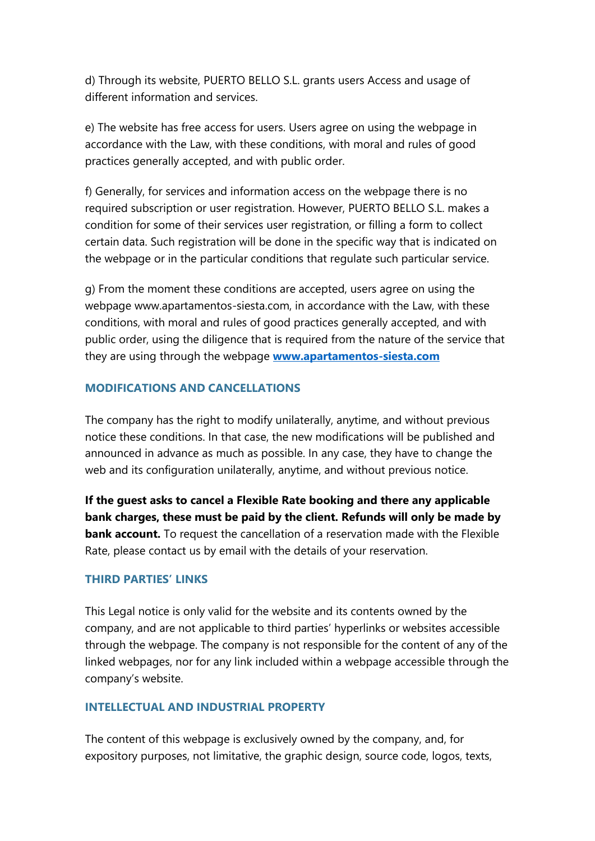d) Through its website, PUERTO BELLO S.L. grants users Access and usage of different information and services.

e) The website has free access for users. Users agree on using the webpage in accordance with the Law, with these conditions, with moral and rules of good practices generally accepted, and with public order.

f) Generally, for services and information access on the webpage there is no required subscription or user registration. However, PUERTO BELLO S.L. makes a condition for some of their services user registration, or filling a form to collect certain data. Such registration will be done in the specific way that is indicated on the webpage or in the particular conditions that regulate such particular service.

g) From the moment these conditions are accepted, users agree on using the webpage www.apartamentos-siesta.com, in accordance with the Law, with these conditions, with moral and rules of good practices generally accepted, and with public order, using the diligence that is required from the nature of the service that they are using through the webpage **[www.apartamentos-siesta.com](http://www.apartamentos-siesta.com/)**

#### **MODIFICATIONS AND CANCELLATIONS**

The company has the right to modify unilaterally, anytime, and without previous notice these conditions. In that case, the new modifications will be published and announced in advance as much as possible. In any case, they have to change the web and its configuration unilaterally, anytime, and without previous notice.

**If the guest asks to cancel a Flexible Rate booking and there any applicable bank charges, these must be paid by the client. Refunds will only be made by bank account.** To request the cancellation of a reservation made with the Flexible Rate, please contact us by email with the details of your reservation.

#### **THIRD PARTIES' LINKS**

This Legal notice is only valid for the website and its contents owned by the company, and are not applicable to third parties' hyperlinks or websites accessible through the webpage. The company is not responsible for the content of any of the linked webpages, nor for any link included within a webpage accessible through the company's website.

#### **INTELLECTUAL AND INDUSTRIAL PROPERTY**

The content of this webpage is exclusively owned by the company, and, for expository purposes, not limitative, the graphic design, source code, logos, texts,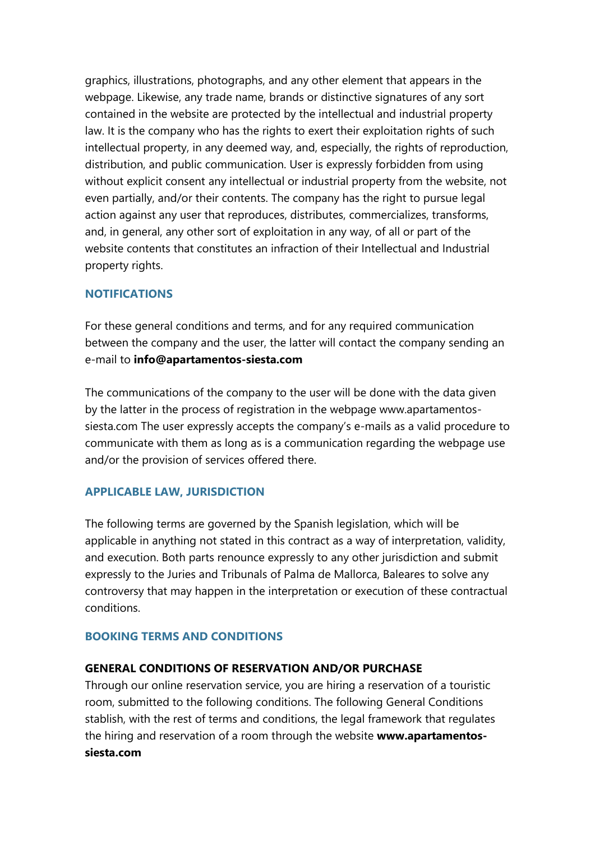graphics, illustrations, photographs, and any other element that appears in the webpage. Likewise, any trade name, brands or distinctive signatures of any sort contained in the website are protected by the intellectual and industrial property law. It is the company who has the rights to exert their exploitation rights of such intellectual property, in any deemed way, and, especially, the rights of reproduction, distribution, and public communication. User is expressly forbidden from using without explicit consent any intellectual or industrial property from the website, not even partially, and/or their contents. The company has the right to pursue legal action against any user that reproduces, distributes, commercializes, transforms, and, in general, any other sort of exploitation in any way, of all or part of the website contents that constitutes an infraction of their Intellectual and Industrial property rights.

#### **NOTIFICATIONS**

For these general conditions and terms, and for any required communication between the company and the user, the latter will contact the company sending an e-mail to **info@apartamentos-siesta.com**

The communications of the company to the user will be done with the data given by the latter in the process of registration in the webpage www.apartamentossiesta.com The user expressly accepts the company's e-mails as a valid procedure to communicate with them as long as is a communication regarding the webpage use and/or the provision of services offered there.

#### **APPLICABLE LAW, JURISDICTION**

The following terms are governed by the Spanish legislation, which will be applicable in anything not stated in this contract as a way of interpretation, validity, and execution. Both parts renounce expressly to any other jurisdiction and submit expressly to the Juries and Tribunals of Palma de Mallorca, Baleares to solve any controversy that may happen in the interpretation or execution of these contractual conditions.

#### **BOOKING TERMS AND CONDITIONS**

#### **GENERAL CONDITIONS OF RESERVATION AND/OR PURCHASE**

Through our online reservation service, you are hiring a reservation of a touristic room, submitted to the following conditions. The following General Conditions stablish, with the rest of terms and conditions, the legal framework that regulates the hiring and reservation of a room through the website **www.apartamentossiesta.com**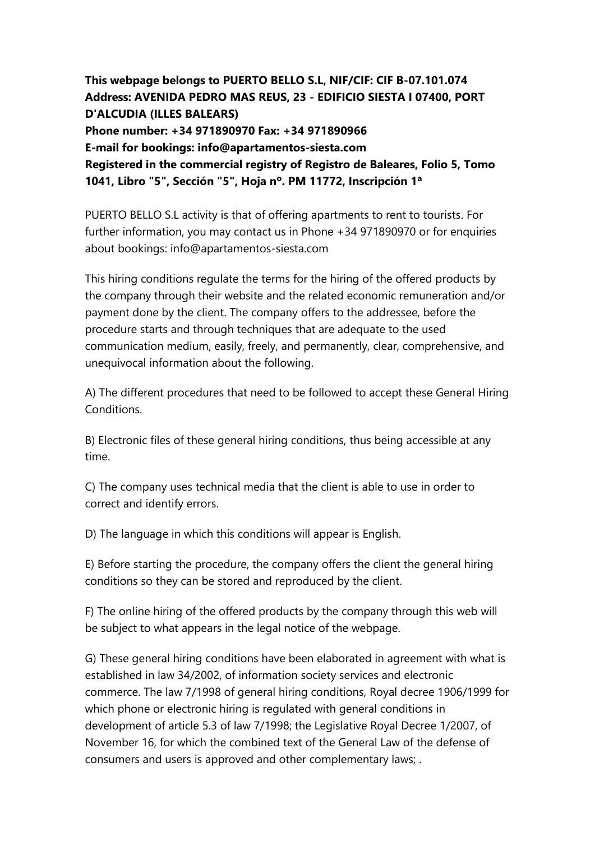**This webpage belongs to PUERTO BELLO S.L, NIF/CIF: CIF B-07.101.074 Address: AVENIDA PEDRO MAS REUS, 23 - EDIFICIO SIESTA I 07400, PORT D'ALCUDIA (ILLES BALEARS) Phone number: +34 971890970 Fax: +34 971890966 E-mail for bookings: info@apartamentos-siesta.com Registered in the commercial registry of Registro de Baleares, Folio 5, Tomo 1041, Libro "5", Sección "5", Hoja nº. PM 11772, Inscripción 1ª**

PUERTO BELLO S.L activity is that of offering apartments to rent to tourists. For further information, you may contact us in Phone +34 971890970 or for enquiries about bookings: info@apartamentos-siesta.com

This hiring conditions regulate the terms for the hiring of the offered products by the company through their website and the related economic remuneration and/or payment done by the client. The company offers to the addressee, before the procedure starts and through techniques that are adequate to the used communication medium, easily, freely, and permanently, clear, comprehensive, and unequivocal information about the following.

A) The different procedures that need to be followed to accept these General Hiring Conditions.

B) Electronic files of these general hiring conditions, thus being accessible at any time.

C) The company uses technical media that the client is able to use in order to correct and identify errors.

D) The language in which this conditions will appear is English.

E) Before starting the procedure, the company offers the client the general hiring conditions so they can be stored and reproduced by the client.

F) The online hiring of the offered products by the company through this web will be subject to what appears in the legal notice of the webpage.

G) These general hiring conditions have been elaborated in agreement with what is established in law 34/2002, of information society services and electronic commerce. The law 7/1998 of general hiring conditions, Royal decree 1906/1999 for which phone or electronic hiring is regulated with general conditions in development of article 5.3 of law 7/1998; the Legislative Royal Decree 1/2007, of November 16, for which the combined text of the General Law of the defense of consumers and users is approved and other complementary laws; .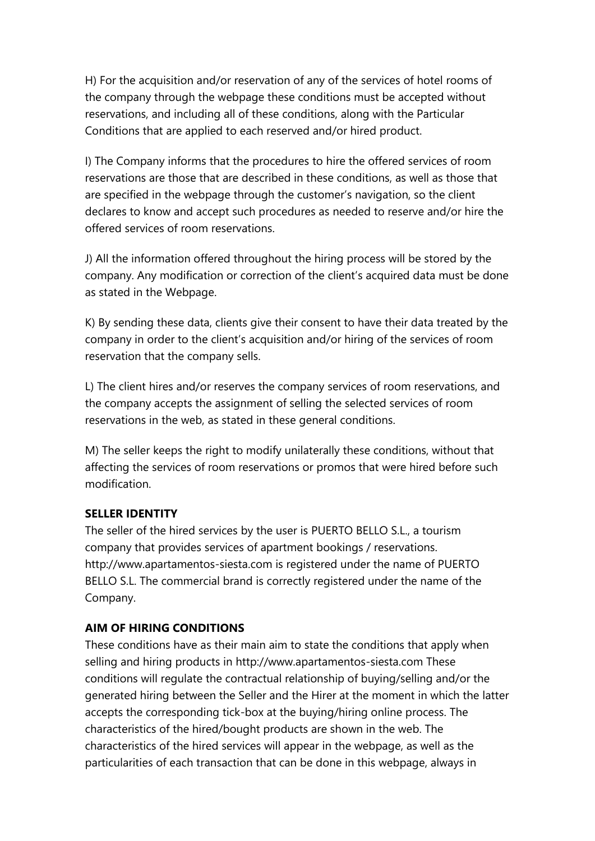H) For the acquisition and/or reservation of any of the services of hotel rooms of the company through the webpage these conditions must be accepted without reservations, and including all of these conditions, along with the Particular Conditions that are applied to each reserved and/or hired product.

I) The Company informs that the procedures to hire the offered services of room reservations are those that are described in these conditions, as well as those that are specified in the webpage through the customer's navigation, so the client declares to know and accept such procedures as needed to reserve and/or hire the offered services of room reservations.

J) All the information offered throughout the hiring process will be stored by the company. Any modification or correction of the client's acquired data must be done as stated in the Webpage.

K) By sending these data, clients give their consent to have their data treated by the company in order to the client's acquisition and/or hiring of the services of room reservation that the company sells.

L) The client hires and/or reserves the company services of room reservations, and the company accepts the assignment of selling the selected services of room reservations in the web, as stated in these general conditions.

M) The seller keeps the right to modify unilaterally these conditions, without that affecting the services of room reservations or promos that were hired before such modification.

## **SELLER IDENTITY**

The seller of the hired services by the user is PUERTO BELLO S.L., a tourism company that provides services of apartment bookings / reservations. http://www.apartamentos-siesta.com is registered under the name of PUERTO BELLO S.L. The commercial brand is correctly registered under the name of the Company.

## **AIM OF HIRING CONDITIONS**

These conditions have as their main aim to state the conditions that apply when selling and hiring products in http://www.apartamentos-siesta.com These conditions will regulate the contractual relationship of buying/selling and/or the generated hiring between the Seller and the Hirer at the moment in which the latter accepts the corresponding tick-box at the buying/hiring online process. The characteristics of the hired/bought products are shown in the web. The characteristics of the hired services will appear in the webpage, as well as the particularities of each transaction that can be done in this webpage, always in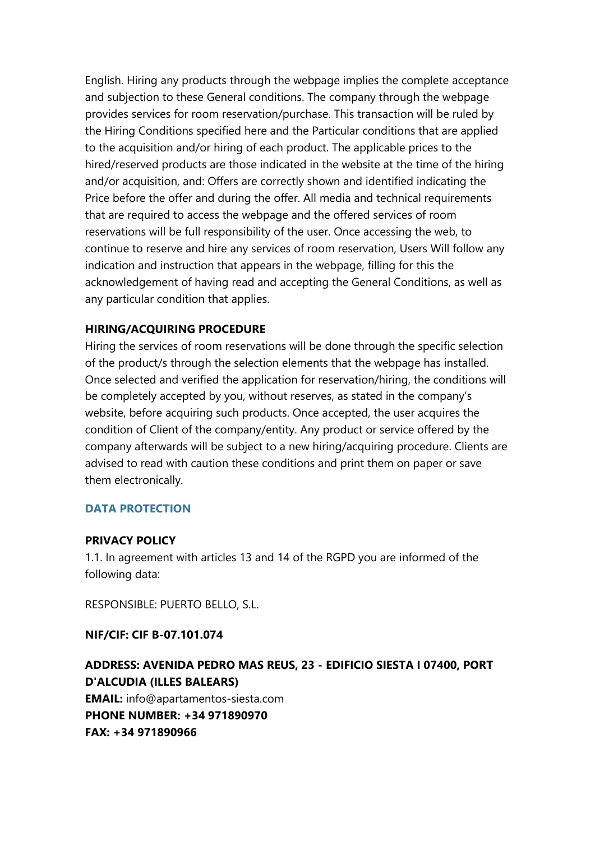English. Hiring any products through the webpage implies the complete acceptance and subjection to these General conditions. The company through the webpage provides services for room reservation/purchase. This transaction will be ruled by the Hiring Conditions specified here and the Particular conditions that are applied to the acquisition and/or hiring of each product. The applicable prices to the hired/reserved products are those indicated in the website at the time of the hiring and/or acquisition, and: Offers are correctly shown and identified indicating the Price before the offer and during the offer. All media and technical requirements that are required to access the webpage and the offered services of room reservations will be full responsibility of the user. Once accessing the web, to continue to reserve and hire any services of room reservation, Users Will follow any indication and instruction that appears in the webpage, filling for this the acknowledgement of having read and accepting the General Conditions, as well as any particular condition that applies.

#### **HIRING/ACQUIRING PROCEDURE**

Hiring the services of room reservations will be done through the specific selection of the product/s through the selection elements that the webpage has installed. Once selected and verified the application for reservation/hiring, the conditions will be completely accepted by you, without reserves, as stated in the company's website, before acquiring such products. Once accepted, the user acquires the condition of Client of the company/entity. Any product or service offered by the company afterwards will be subject to a new hiring/acquiring procedure. Clients are advised to read with caution these conditions and print them on paper or save them electronically.

#### **DATA PROTECTION**

#### **PRIVACY POLICY**

1.1. In agreement with articles 13 and 14 of the RGPD you are informed of the following data:

RESPONSIBLE: PUERTO BELLO, S.L.

**NIF/CIF: CIF B-07.101.074**

# **ADDRESS: AVENIDA PEDRO MAS REUS, 23 - EDIFICIO SIESTA I 07400, PORT D'ALCUDIA (ILLES BALEARS) EMAIL:** info@apartamentos-siesta.com **PHONE NUMBER: +34 971890970 FAX: +34 971890966**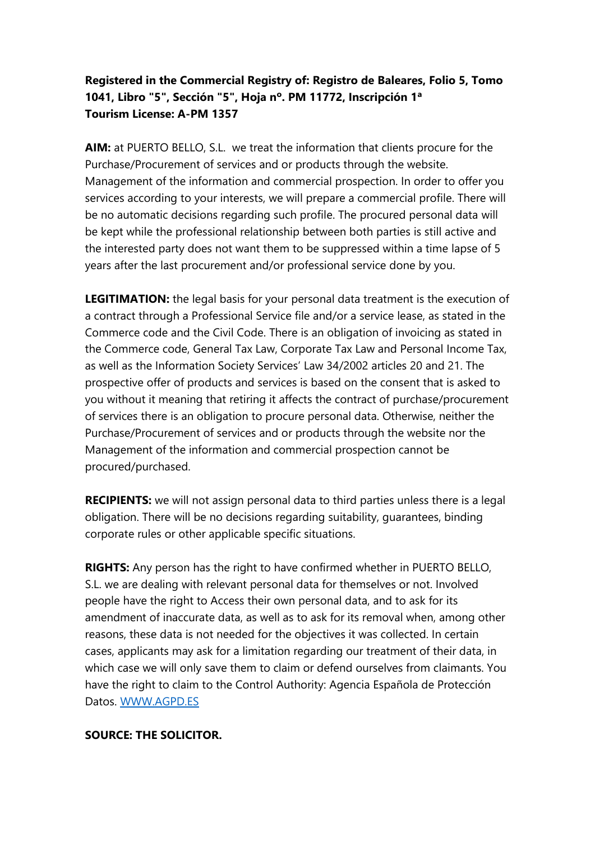# **Registered in the Commercial Registry of: Registro de Baleares, Folio 5, Tomo 1041, Libro "5", Sección "5", Hoja nº. PM 11772, Inscripción 1ª Tourism License: A-PM 1357**

**AIM:** at PUERTO BELLO, S.L. we treat the information that clients procure for the Purchase/Procurement of services and or products through the website. Management of the information and commercial prospection. In order to offer you services according to your interests, we will prepare a commercial profile. There will be no automatic decisions regarding such profile. The procured personal data will be kept while the professional relationship between both parties is still active and the interested party does not want them to be suppressed within a time lapse of 5 years after the last procurement and/or professional service done by you.

**LEGITIMATION:** the legal basis for your personal data treatment is the execution of a contract through a Professional Service file and/or a service lease, as stated in the Commerce code and the Civil Code. There is an obligation of invoicing as stated in the Commerce code, General Tax Law, Corporate Tax Law and Personal Income Tax, as well as the Information Society Services' Law 34/2002 articles 20 and 21. The prospective offer of products and services is based on the consent that is asked to you without it meaning that retiring it affects the contract of purchase/procurement of services there is an obligation to procure personal data. Otherwise, neither the Purchase/Procurement of services and or products through the website nor the Management of the information and commercial prospection cannot be procured/purchased.

**RECIPIENTS:** we will not assign personal data to third parties unless there is a legal obligation. There will be no decisions regarding suitability, guarantees, binding corporate rules or other applicable specific situations.

**RIGHTS:** Any person has the right to have confirmed whether in PUERTO BELLO, S.L. we are dealing with relevant personal data for themselves or not. Involved people have the right to Access their own personal data, and to ask for its amendment of inaccurate data, as well as to ask for its removal when, among other reasons, these data is not needed for the objectives it was collected. In certain cases, applicants may ask for a limitation regarding our treatment of their data, in which case we will only save them to claim or defend ourselves from claimants. You have the right to claim to the Control Authority: Agencia Española de Protección Datos. [WWW.AGPD.ES](http://www.agpd.es/)

## **SOURCE: THE SOLICITOR.**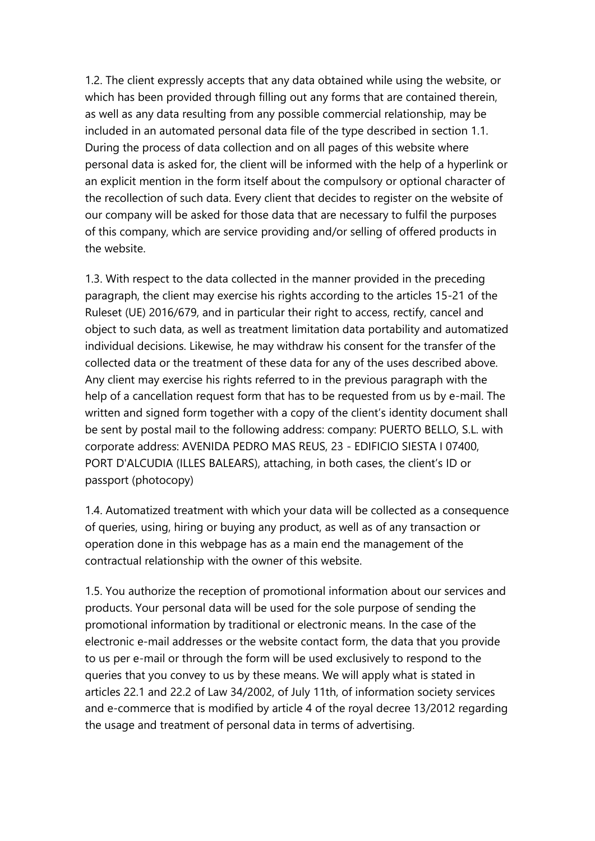1.2. The client expressly accepts that any data obtained while using the website, or which has been provided through filling out any forms that are contained therein, as well as any data resulting from any possible commercial relationship, may be included in an automated personal data file of the type described in section 1.1. During the process of data collection and on all pages of this website where personal data is asked for, the client will be informed with the help of a hyperlink or an explicit mention in the form itself about the compulsory or optional character of the recollection of such data. Every client that decides to register on the website of our company will be asked for those data that are necessary to fulfil the purposes of this company, which are service providing and/or selling of offered products in the website.

1.3. With respect to the data collected in the manner provided in the preceding paragraph, the client may exercise his rights according to the articles 15-21 of the Ruleset (UE) 2016/679, and in particular their right to access, rectify, cancel and object to such data, as well as treatment limitation data portability and automatized individual decisions. Likewise, he may withdraw his consent for the transfer of the collected data or the treatment of these data for any of the uses described above. Any client may exercise his rights referred to in the previous paragraph with the help of a cancellation request form that has to be requested from us by e-mail. The written and signed form together with a copy of the client's identity document shall be sent by postal mail to the following address: company: PUERTO BELLO, S.L. with corporate address: AVENIDA PEDRO MAS REUS, 23 - EDIFICIO SIESTA I 07400, PORT D'ALCUDIA (ILLES BALEARS), attaching, in both cases, the client's ID or passport (photocopy)

1.4. Automatized treatment with which your data will be collected as a consequence of queries, using, hiring or buying any product, as well as of any transaction or operation done in this webpage has as a main end the management of the contractual relationship with the owner of this website.

1.5. You authorize the reception of promotional information about our services and products. Your personal data will be used for the sole purpose of sending the promotional information by traditional or electronic means. In the case of the electronic e-mail addresses or the website contact form, the data that you provide to us per e-mail or through the form will be used exclusively to respond to the queries that you convey to us by these means. We will apply what is stated in articles 22.1 and 22.2 of Law 34/2002, of July 11th, of information society services and e-commerce that is modified by article 4 of the royal decree 13/2012 regarding the usage and treatment of personal data in terms of advertising.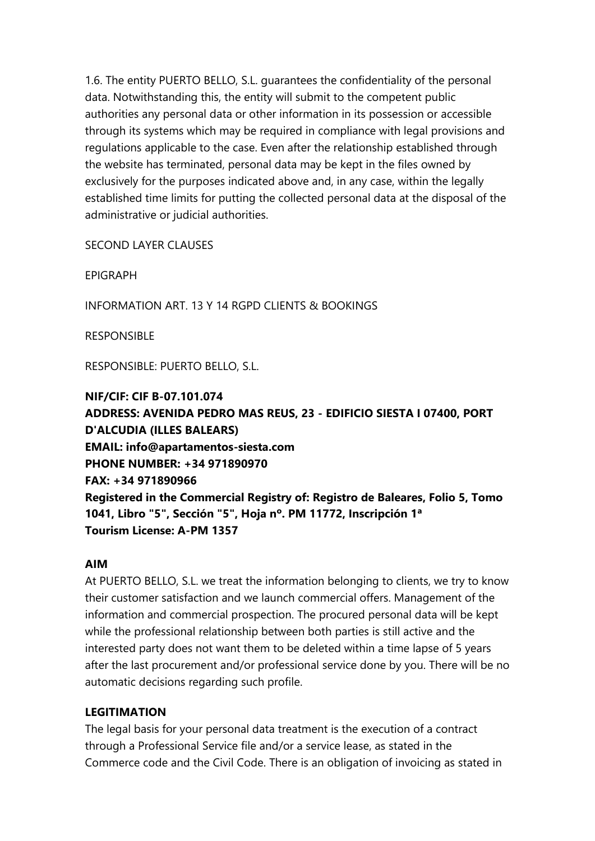1.6. The entity PUERTO BELLO, S.L. guarantees the confidentiality of the personal data. Notwithstanding this, the entity will submit to the competent public authorities any personal data or other information in its possession or accessible through its systems which may be required in compliance with legal provisions and regulations applicable to the case. Even after the relationship established through the website has terminated, personal data may be kept in the files owned by exclusively for the purposes indicated above and, in any case, within the legally established time limits for putting the collected personal data at the disposal of the administrative or judicial authorities.

SECOND LAYER CLAUSES

EPIGRAPH

INFORMATION ART. 13 Y 14 RGPD CLIENTS & BOOKINGS

RESPONSIBLE

RESPONSIBLE: PUERTO BELLO, S.L.

**NIF/CIF: CIF B-07.101.074 ADDRESS: AVENIDA PEDRO MAS REUS, 23 - EDIFICIO SIESTA I 07400, PORT D'ALCUDIA (ILLES BALEARS) EMAIL: info@apartamentos-siesta.com PHONE NUMBER: +34 971890970 FAX: +34 971890966 Registered in the Commercial Registry of: Registro de Baleares, Folio 5, Tomo 1041, Libro "5", Sección "5", Hoja nº. PM 11772, Inscripción 1ª Tourism License: A-PM 1357**

#### **AIM**

At PUERTO BELLO, S.L. we treat the information belonging to clients, we try to know their customer satisfaction and we launch commercial offers. Management of the information and commercial prospection. The procured personal data will be kept while the professional relationship between both parties is still active and the interested party does not want them to be deleted within a time lapse of 5 years after the last procurement and/or professional service done by you. There will be no automatic decisions regarding such profile.

## **LEGITIMATION**

The legal basis for your personal data treatment is the execution of a contract through a Professional Service file and/or a service lease, as stated in the Commerce code and the Civil Code. There is an obligation of invoicing as stated in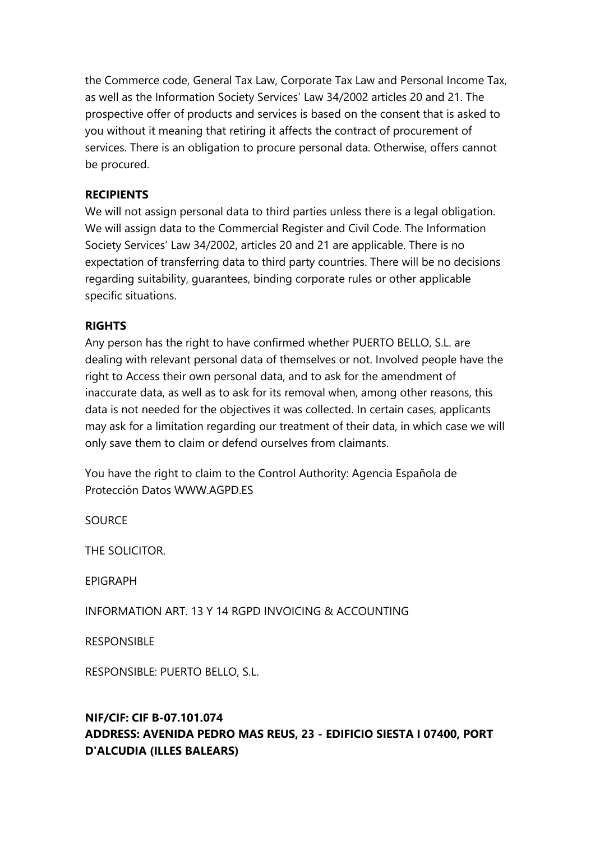the Commerce code, General Tax Law, Corporate Tax Law and Personal Income Tax, as well as the Information Society Services' Law 34/2002 articles 20 and 21. The prospective offer of products and services is based on the consent that is asked to you without it meaning that retiring it affects the contract of procurement of services. There is an obligation to procure personal data. Otherwise, offers cannot be procured.

## **RECIPIENTS**

We will not assign personal data to third parties unless there is a legal obligation. We will assign data to the Commercial Register and Civil Code. The Information Society Services' Law 34/2002, articles 20 and 21 are applicable. There is no expectation of transferring data to third party countries. There will be no decisions regarding suitability, guarantees, binding corporate rules or other applicable specific situations.

## **RIGHTS**

Any person has the right to have confirmed whether PUERTO BELLO, S.L. are dealing with relevant personal data of themselves or not. Involved people have the right to Access their own personal data, and to ask for the amendment of inaccurate data, as well as to ask for its removal when, among other reasons, this data is not needed for the objectives it was collected. In certain cases, applicants may ask for a limitation regarding our treatment of their data, in which case we will only save them to claim or defend ourselves from claimants.

You have the right to claim to the Control Authority: Agencia Española de Protección Datos WWW.AGPD.ES

**SOURCE** 

THE SOLICITOR.

EPIGRAPH

INFORMATION ART. 13 Y 14 RGPD INVOICING & ACCOUNTING

RESPONSIBLE

RESPONSIBLE: PUERTO BELLO, S.L.

# **NIF/CIF: CIF B-07.101.074 ADDRESS: AVENIDA PEDRO MAS REUS, 23 - EDIFICIO SIESTA I 07400, PORT D'ALCUDIA (ILLES BALEARS)**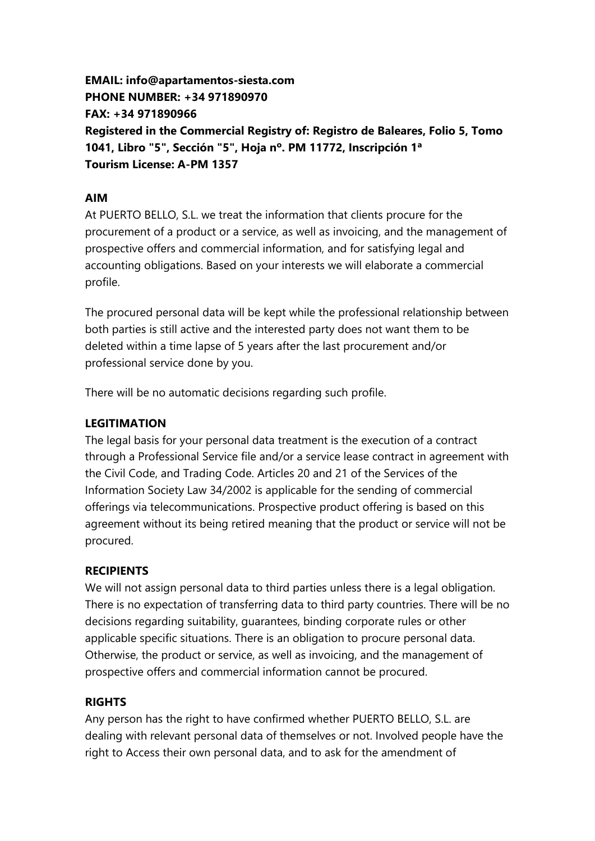**EMAIL: info@apartamentos-siesta.com PHONE NUMBER: +34 971890970 FAX: +34 971890966 Registered in the Commercial Registry of: Registro de Baleares, Folio 5, Tomo 1041, Libro "5", Sección "5", Hoja nº. PM 11772, Inscripción 1ª Tourism License: A-PM 1357**

## **AIM**

At PUERTO BELLO, S.L. we treat the information that clients procure for the procurement of a product or a service, as well as invoicing, and the management of prospective offers and commercial information, and for satisfying legal and accounting obligations. Based on your interests we will elaborate a commercial profile.

The procured personal data will be kept while the professional relationship between both parties is still active and the interested party does not want them to be deleted within a time lapse of 5 years after the last procurement and/or professional service done by you.

There will be no automatic decisions regarding such profile.

## **LEGITIMATION**

The legal basis for your personal data treatment is the execution of a contract through a Professional Service file and/or a service lease contract in agreement with the Civil Code, and Trading Code. Articles 20 and 21 of the Services of the Information Society Law 34/2002 is applicable for the sending of commercial offerings via telecommunications. Prospective product offering is based on this agreement without its being retired meaning that the product or service will not be procured.

## **RECIPIENTS**

We will not assign personal data to third parties unless there is a legal obligation. There is no expectation of transferring data to third party countries. There will be no decisions regarding suitability, guarantees, binding corporate rules or other applicable specific situations. There is an obligation to procure personal data. Otherwise, the product or service, as well as invoicing, and the management of prospective offers and commercial information cannot be procured.

# **RIGHTS**

Any person has the right to have confirmed whether PUERTO BELLO, S.L. are dealing with relevant personal data of themselves or not. Involved people have the right to Access their own personal data, and to ask for the amendment of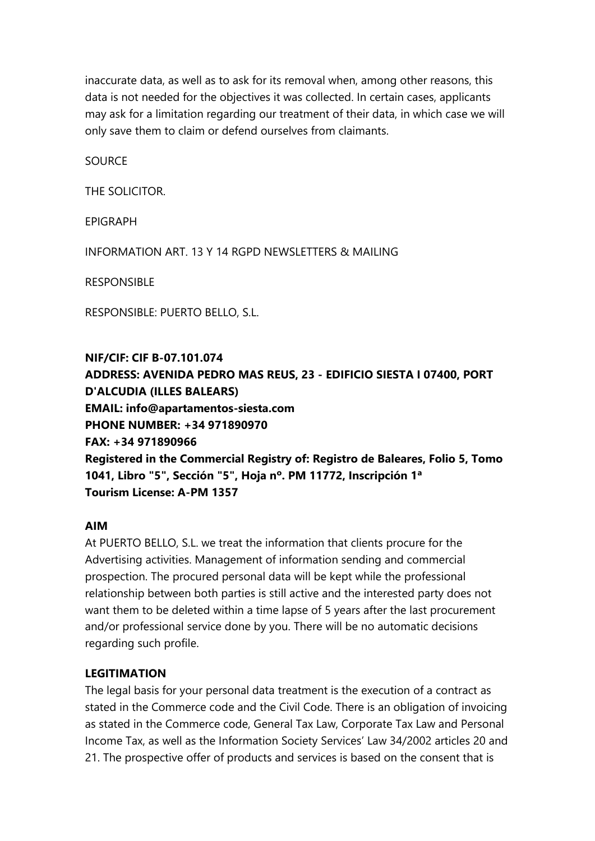inaccurate data, as well as to ask for its removal when, among other reasons, this data is not needed for the objectives it was collected. In certain cases, applicants may ask for a limitation regarding our treatment of their data, in which case we will only save them to claim or defend ourselves from claimants.

**SOURCE** 

THE SOLICITOR.

EPIGRAPH

INFORMATION ART. 13 Y 14 RGPD NEWSLETTERS & MAILING

RESPONSIBLE

RESPONSIBLE: PUERTO BELLO, S.L.

**NIF/CIF: CIF B-07.101.074 ADDRESS: AVENIDA PEDRO MAS REUS, 23 - EDIFICIO SIESTA I 07400, PORT D'ALCUDIA (ILLES BALEARS) EMAIL: info@apartamentos-siesta.com PHONE NUMBER: +34 971890970 FAX: +34 971890966 Registered in the Commercial Registry of: Registro de Baleares, Folio 5, Tomo 1041, Libro "5", Sección "5", Hoja nº. PM 11772, Inscripción 1ª Tourism License: A-PM 1357**

#### **AIM**

At PUERTO BELLO, S.L. we treat the information that clients procure for the Advertising activities. Management of information sending and commercial prospection. The procured personal data will be kept while the professional relationship between both parties is still active and the interested party does not want them to be deleted within a time lapse of 5 years after the last procurement and/or professional service done by you. There will be no automatic decisions regarding such profile.

#### **LEGITIMATION**

The legal basis for your personal data treatment is the execution of a contract as stated in the Commerce code and the Civil Code. There is an obligation of invoicing as stated in the Commerce code, General Tax Law, Corporate Tax Law and Personal Income Tax, as well as the Information Society Services' Law 34/2002 articles 20 and 21. The prospective offer of products and services is based on the consent that is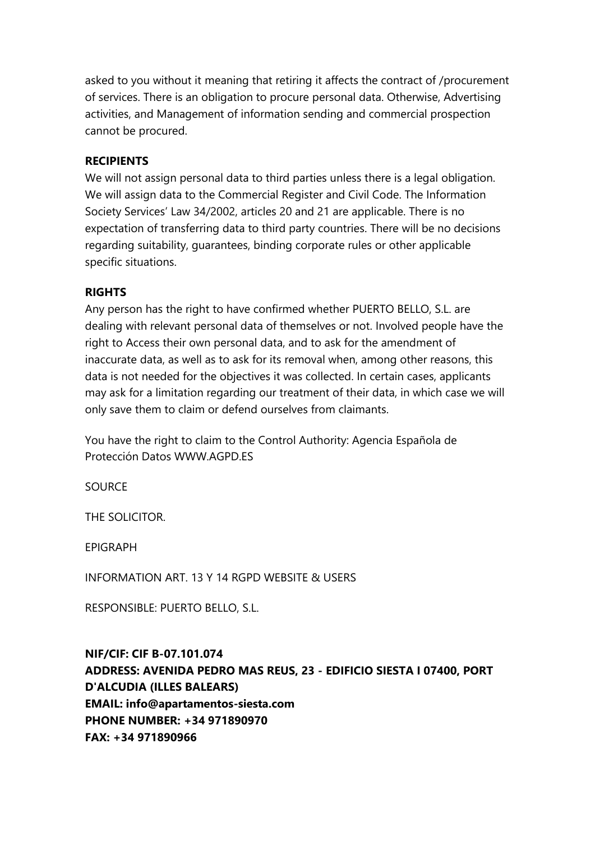asked to you without it meaning that retiring it affects the contract of /procurement of services. There is an obligation to procure personal data. Otherwise, Advertising activities, and Management of information sending and commercial prospection cannot be procured.

#### **RECIPIENTS**

We will not assign personal data to third parties unless there is a legal obligation. We will assign data to the Commercial Register and Civil Code. The Information Society Services' Law 34/2002, articles 20 and 21 are applicable. There is no expectation of transferring data to third party countries. There will be no decisions regarding suitability, guarantees, binding corporate rules or other applicable specific situations.

## **RIGHTS**

Any person has the right to have confirmed whether PUERTO BELLO, S.L. are dealing with relevant personal data of themselves or not. Involved people have the right to Access their own personal data, and to ask for the amendment of inaccurate data, as well as to ask for its removal when, among other reasons, this data is not needed for the objectives it was collected. In certain cases, applicants may ask for a limitation regarding our treatment of their data, in which case we will only save them to claim or defend ourselves from claimants.

You have the right to claim to the Control Authority: Agencia Española de Protección Datos WWW.AGPD.ES

**SOURCE** 

THE SOLICITOR.

EPIGRAPH

INFORMATION ART. 13 Y 14 RGPD WEBSITE & USERS

RESPONSIBLE: PUERTO BELLO, S.L.

#### **NIF/CIF: CIF B-07.101.074**

**ADDRESS: AVENIDA PEDRO MAS REUS, 23 - EDIFICIO SIESTA I 07400, PORT D'ALCUDIA (ILLES BALEARS) EMAIL: info@apartamentos-siesta.com PHONE NUMBER: +34 971890970 FAX: +34 971890966**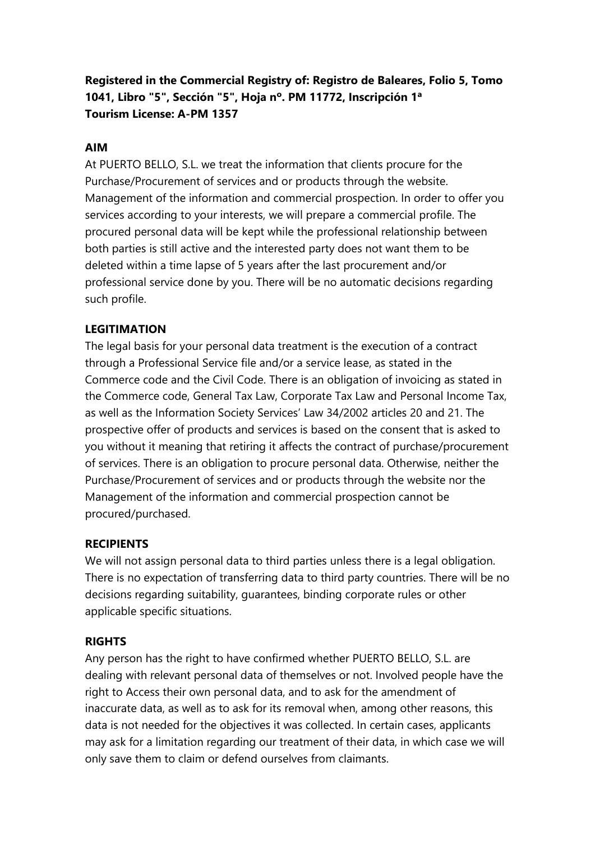**Registered in the Commercial Registry of: Registro de Baleares, Folio 5, Tomo 1041, Libro "5", Sección "5", Hoja nº. PM 11772, Inscripción 1ª Tourism License: A-PM 1357**

#### **AIM**

At PUERTO BELLO, S.L. we treat the information that clients procure for the Purchase/Procurement of services and or products through the website. Management of the information and commercial prospection. In order to offer you services according to your interests, we will prepare a commercial profile. The procured personal data will be kept while the professional relationship between both parties is still active and the interested party does not want them to be deleted within a time lapse of 5 years after the last procurement and/or professional service done by you. There will be no automatic decisions regarding such profile.

## **LEGITIMATION**

The legal basis for your personal data treatment is the execution of a contract through a Professional Service file and/or a service lease, as stated in the Commerce code and the Civil Code. There is an obligation of invoicing as stated in the Commerce code, General Tax Law, Corporate Tax Law and Personal Income Tax, as well as the Information Society Services' Law 34/2002 articles 20 and 21. The prospective offer of products and services is based on the consent that is asked to you without it meaning that retiring it affects the contract of purchase/procurement of services. There is an obligation to procure personal data. Otherwise, neither the Purchase/Procurement of services and or products through the website nor the Management of the information and commercial prospection cannot be procured/purchased.

#### **RECIPIENTS**

We will not assign personal data to third parties unless there is a legal obligation. There is no expectation of transferring data to third party countries. There will be no decisions regarding suitability, guarantees, binding corporate rules or other applicable specific situations.

#### **RIGHTS**

Any person has the right to have confirmed whether PUERTO BELLO, S.L. are dealing with relevant personal data of themselves or not. Involved people have the right to Access their own personal data, and to ask for the amendment of inaccurate data, as well as to ask for its removal when, among other reasons, this data is not needed for the objectives it was collected. In certain cases, applicants may ask for a limitation regarding our treatment of their data, in which case we will only save them to claim or defend ourselves from claimants.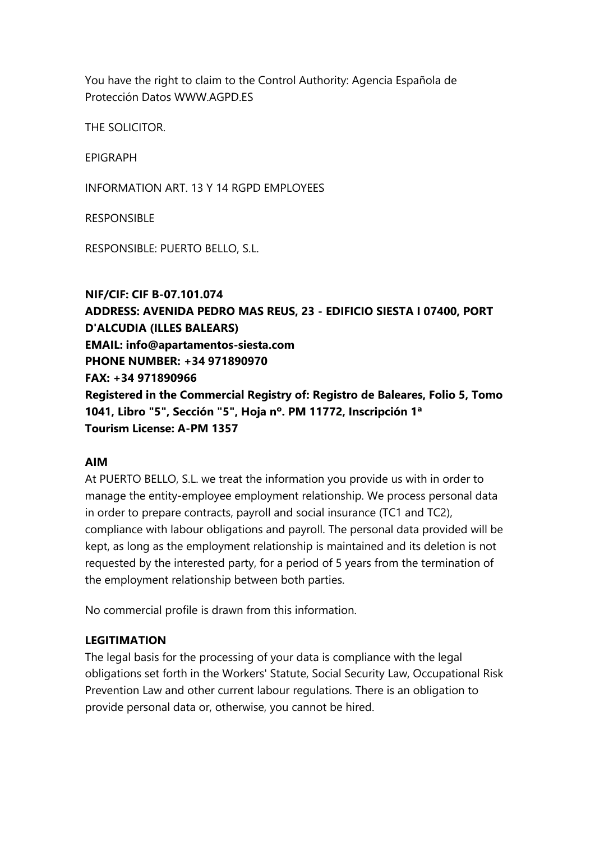You have the right to claim to the Control Authority: Agencia Española de Protección Datos WWW.AGPD.ES

THE SOLICITOR.

EPIGRAPH

INFORMATION ART. 13 Y 14 RGPD EMPLOYEES

RESPONSIBLE

RESPONSIBLE: PUERTO BELLO, S.L.

**NIF/CIF: CIF B-07.101.074 ADDRESS: AVENIDA PEDRO MAS REUS, 23 - EDIFICIO SIESTA I 07400, PORT D'ALCUDIA (ILLES BALEARS) EMAIL: info@apartamentos-siesta.com PHONE NUMBER: +34 971890970 FAX: +34 971890966 Registered in the Commercial Registry of: Registro de Baleares, Folio 5, Tomo 1041, Libro "5", Sección "5", Hoja nº. PM 11772, Inscripción 1ª Tourism License: A-PM 1357**

#### **AIM**

At PUERTO BELLO, S.L. we treat the information you provide us with in order to manage the entity-employee employment relationship. We process personal data in order to prepare contracts, payroll and social insurance (TC1 and TC2), compliance with labour obligations and payroll. The personal data provided will be kept, as long as the employment relationship is maintained and its deletion is not requested by the interested party, for a period of 5 years from the termination of the employment relationship between both parties.

No commercial profile is drawn from this information.

#### **LEGITIMATION**

The legal basis for the processing of your data is compliance with the legal obligations set forth in the Workers' Statute, Social Security Law, Occupational Risk Prevention Law and other current labour regulations. There is an obligation to provide personal data or, otherwise, you cannot be hired.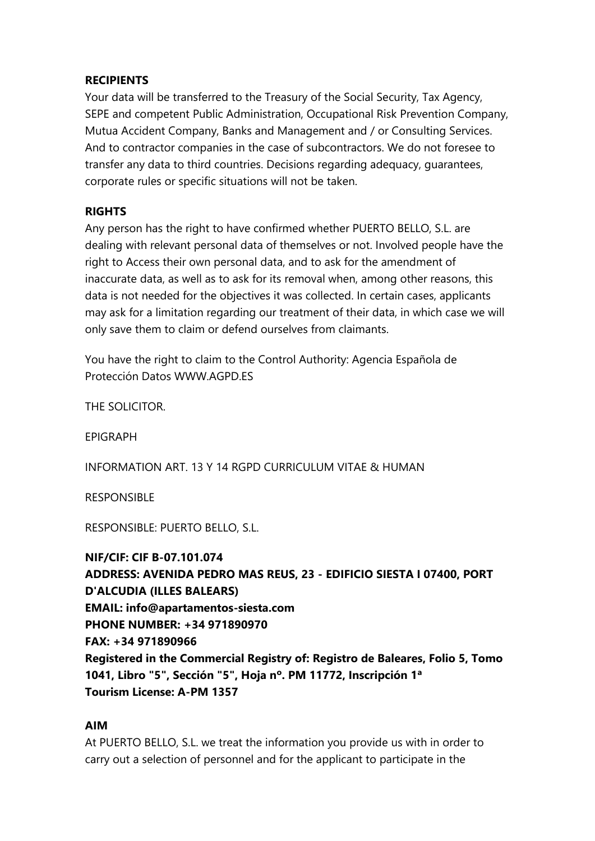#### **RECIPIENTS**

Your data will be transferred to the Treasury of the Social Security, Tax Agency, SEPE and competent Public Administration, Occupational Risk Prevention Company, Mutua Accident Company, Banks and Management and / or Consulting Services. And to contractor companies in the case of subcontractors. We do not foresee to transfer any data to third countries. Decisions regarding adequacy, guarantees, corporate rules or specific situations will not be taken.

#### **RIGHTS**

Any person has the right to have confirmed whether PUERTO BELLO, S.L. are dealing with relevant personal data of themselves or not. Involved people have the right to Access their own personal data, and to ask for the amendment of inaccurate data, as well as to ask for its removal when, among other reasons, this data is not needed for the objectives it was collected. In certain cases, applicants may ask for a limitation regarding our treatment of their data, in which case we will only save them to claim or defend ourselves from claimants.

You have the right to claim to the Control Authority: Agencia Española de Protección Datos WWW.AGPD.ES

THE SOLICITOR.

EPIGRAPH

INFORMATION ART. 13 Y 14 RGPD CURRICULUM VITAE & HUMAN

RESPONSIBLE

RESPONSIBLE: PUERTO BELLO, S.L.

**NIF/CIF: CIF B-07.101.074 ADDRESS: AVENIDA PEDRO MAS REUS, 23 - EDIFICIO SIESTA I 07400, PORT D'ALCUDIA (ILLES BALEARS) EMAIL: info@apartamentos-siesta.com PHONE NUMBER: +34 971890970 FAX: +34 971890966 Registered in the Commercial Registry of: Registro de Baleares, Folio 5, Tomo 1041, Libro "5", Sección "5", Hoja nº. PM 11772, Inscripción 1ª Tourism License: A-PM 1357**

#### **AIM**

At PUERTO BELLO, S.L. we treat the information you provide us with in order to carry out a selection of personnel and for the applicant to participate in the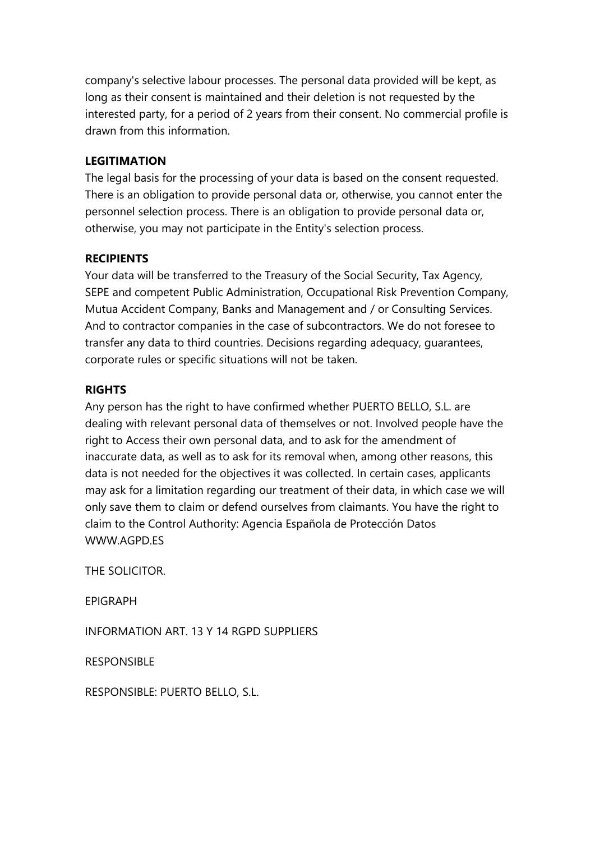company's selective labour processes. The personal data provided will be kept, as long as their consent is maintained and their deletion is not requested by the interested party, for a period of 2 years from their consent. No commercial profile is drawn from this information.

## **LEGITIMATION**

The legal basis for the processing of your data is based on the consent requested. There is an obligation to provide personal data or, otherwise, you cannot enter the personnel selection process. There is an obligation to provide personal data or, otherwise, you may not participate in the Entity's selection process.

## **RECIPIENTS**

Your data will be transferred to the Treasury of the Social Security, Tax Agency, SEPE and competent Public Administration, Occupational Risk Prevention Company, Mutua Accident Company, Banks and Management and / or Consulting Services. And to contractor companies in the case of subcontractors. We do not foresee to transfer any data to third countries. Decisions regarding adequacy, guarantees, corporate rules or specific situations will not be taken.

## **RIGHTS**

Any person has the right to have confirmed whether PUERTO BELLO, S.L. are dealing with relevant personal data of themselves or not. Involved people have the right to Access their own personal data, and to ask for the amendment of inaccurate data, as well as to ask for its removal when, among other reasons, this data is not needed for the objectives it was collected. In certain cases, applicants may ask for a limitation regarding our treatment of their data, in which case we will only save them to claim or defend ourselves from claimants. You have the right to claim to the Control Authority: Agencia Española de Protección Datos WWW.AGPD.ES

THE SOLICITOR.

EPIGRAPH

INFORMATION ART. 13 Y 14 RGPD SUPPLIERS

RESPONSIBLE

RESPONSIBLE: PUERTO BELLO, S.L.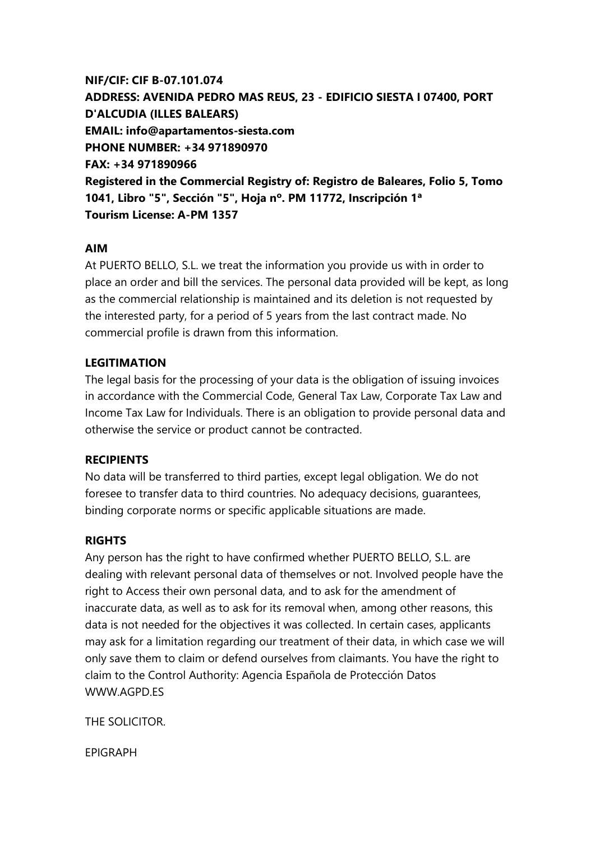# **NIF/CIF: CIF B-07.101.074 ADDRESS: AVENIDA PEDRO MAS REUS, 23 - EDIFICIO SIESTA I 07400, PORT D'ALCUDIA (ILLES BALEARS) EMAIL: info@apartamentos-siesta.com PHONE NUMBER: +34 971890970 FAX: +34 971890966 Registered in the Commercial Registry of: Registro de Baleares, Folio 5, Tomo 1041, Libro "5", Sección "5", Hoja nº. PM 11772, Inscripción 1ª Tourism License: A-PM 1357**

## **AIM**

At PUERTO BELLO, S.L. we treat the information you provide us with in order to place an order and bill the services. The personal data provided will be kept, as long as the commercial relationship is maintained and its deletion is not requested by the interested party, for a period of 5 years from the last contract made. No commercial profile is drawn from this information.

## **LEGITIMATION**

The legal basis for the processing of your data is the obligation of issuing invoices in accordance with the Commercial Code, General Tax Law, Corporate Tax Law and Income Tax Law for Individuals. There is an obligation to provide personal data and otherwise the service or product cannot be contracted.

#### **RECIPIENTS**

No data will be transferred to third parties, except legal obligation. We do not foresee to transfer data to third countries. No adequacy decisions, guarantees, binding corporate norms or specific applicable situations are made.

#### **RIGHTS**

Any person has the right to have confirmed whether PUERTO BELLO, S.L. are dealing with relevant personal data of themselves or not. Involved people have the right to Access their own personal data, and to ask for the amendment of inaccurate data, as well as to ask for its removal when, among other reasons, this data is not needed for the objectives it was collected. In certain cases, applicants may ask for a limitation regarding our treatment of their data, in which case we will only save them to claim or defend ourselves from claimants. You have the right to claim to the Control Authority: Agencia Española de Protección Datos WWW.AGPD.ES

THE SOLICITOR.

EPIGRAPH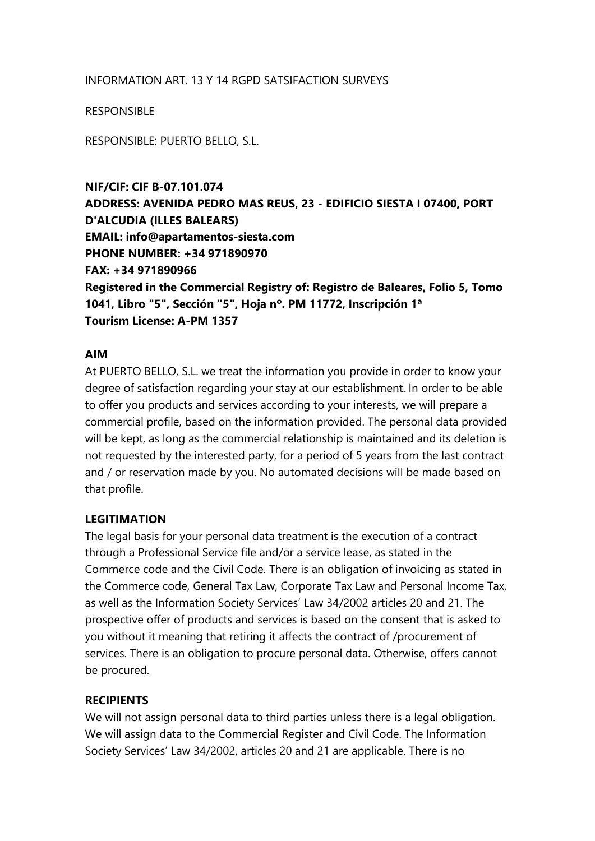#### INFORMATION ART. 13 Y 14 RGPD SATSIFACTION SURVEYS

#### RESPONSIBLE

RESPONSIBLE: PUERTO BELLO, S.L.

**NIF/CIF: CIF B-07.101.074 ADDRESS: AVENIDA PEDRO MAS REUS, 23 - EDIFICIO SIESTA I 07400, PORT D'ALCUDIA (ILLES BALEARS) EMAIL: info@apartamentos-siesta.com PHONE NUMBER: +34 971890970 FAX: +34 971890966 Registered in the Commercial Registry of: Registro de Baleares, Folio 5, Tomo 1041, Libro "5", Sección "5", Hoja nº. PM 11772, Inscripción 1ª Tourism License: A-PM 1357**

#### **AIM**

At PUERTO BELLO, S.L. we treat the information you provide in order to know your degree of satisfaction regarding your stay at our establishment. In order to be able to offer you products and services according to your interests, we will prepare a commercial profile, based on the information provided. The personal data provided will be kept, as long as the commercial relationship is maintained and its deletion is not requested by the interested party, for a period of 5 years from the last contract and / or reservation made by you. No automated decisions will be made based on that profile.

#### **LEGITIMATION**

The legal basis for your personal data treatment is the execution of a contract through a Professional Service file and/or a service lease, as stated in the Commerce code and the Civil Code. There is an obligation of invoicing as stated in the Commerce code, General Tax Law, Corporate Tax Law and Personal Income Tax, as well as the Information Society Services' Law 34/2002 articles 20 and 21. The prospective offer of products and services is based on the consent that is asked to you without it meaning that retiring it affects the contract of /procurement of services. There is an obligation to procure personal data. Otherwise, offers cannot be procured.

#### **RECIPIENTS**

We will not assign personal data to third parties unless there is a legal obligation. We will assign data to the Commercial Register and Civil Code. The Information Society Services' Law 34/2002, articles 20 and 21 are applicable. There is no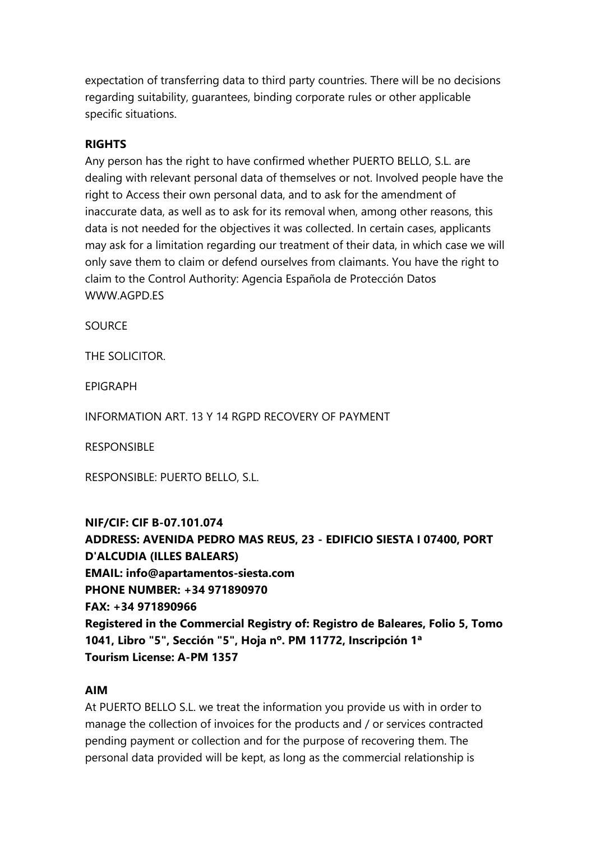expectation of transferring data to third party countries. There will be no decisions regarding suitability, guarantees, binding corporate rules or other applicable specific situations.

## **RIGHTS**

Any person has the right to have confirmed whether PUERTO BELLO, S.L. are dealing with relevant personal data of themselves or not. Involved people have the right to Access their own personal data, and to ask for the amendment of inaccurate data, as well as to ask for its removal when, among other reasons, this data is not needed for the objectives it was collected. In certain cases, applicants may ask for a limitation regarding our treatment of their data, in which case we will only save them to claim or defend ourselves from claimants. You have the right to claim to the Control Authority: Agencia Española de Protección Datos WWW.AGPD.FS

**SOURCE** 

THE SOLICITOR.

EPIGRAPH

INFORMATION ART. 13 Y 14 RGPD RECOVERY OF PAYMENT

**RESPONSIBLE** 

RESPONSIBLE: PUERTO BELLO, S.L.

**NIF/CIF: CIF B-07.101.074 ADDRESS: AVENIDA PEDRO MAS REUS, 23 - EDIFICIO SIESTA I 07400, PORT D'ALCUDIA (ILLES BALEARS) EMAIL: info@apartamentos-siesta.com PHONE NUMBER: +34 971890970 FAX: +34 971890966 Registered in the Commercial Registry of: Registro de Baleares, Folio 5, Tomo 1041, Libro "5", Sección "5", Hoja nº. PM 11772, Inscripción 1ª Tourism License: A-PM 1357**

#### **AIM**

At PUERTO BELLO S.L. we treat the information you provide us with in order to manage the collection of invoices for the products and / or services contracted pending payment or collection and for the purpose of recovering them. The personal data provided will be kept, as long as the commercial relationship is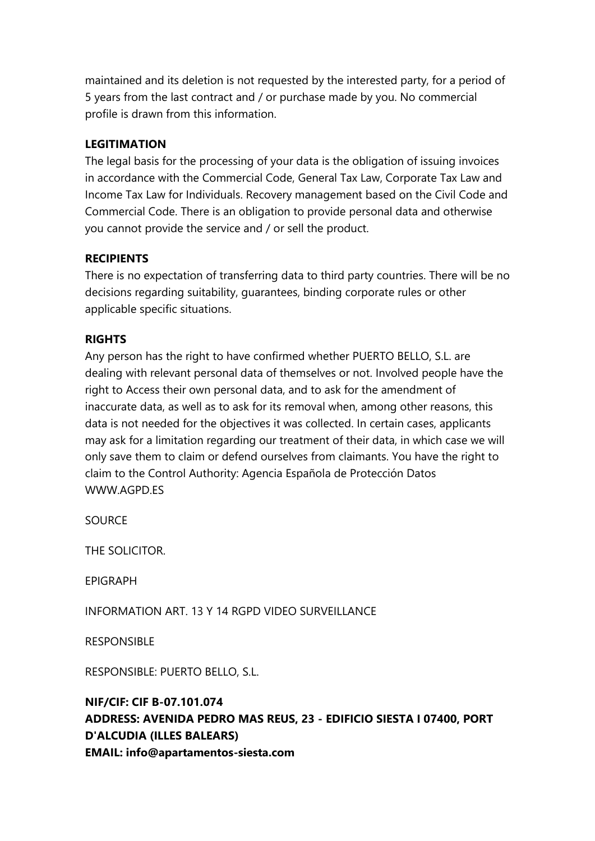maintained and its deletion is not requested by the interested party, for a period of 5 years from the last contract and / or purchase made by you. No commercial profile is drawn from this information.

# **LEGITIMATION**

The legal basis for the processing of your data is the obligation of issuing invoices in accordance with the Commercial Code, General Tax Law, Corporate Tax Law and Income Tax Law for Individuals. Recovery management based on the Civil Code and Commercial Code. There is an obligation to provide personal data and otherwise you cannot provide the service and / or sell the product.

# **RECIPIENTS**

There is no expectation of transferring data to third party countries. There will be no decisions regarding suitability, guarantees, binding corporate rules or other applicable specific situations.

## **RIGHTS**

Any person has the right to have confirmed whether PUERTO BELLO, S.L. are dealing with relevant personal data of themselves or not. Involved people have the right to Access their own personal data, and to ask for the amendment of inaccurate data, as well as to ask for its removal when, among other reasons, this data is not needed for the objectives it was collected. In certain cases, applicants may ask for a limitation regarding our treatment of their data, in which case we will only save them to claim or defend ourselves from claimants. You have the right to claim to the Control Authority: Agencia Española de Protección Datos WWW.AGPD.FS

**SOURCE** 

THE SOLICITOR.

EPIGRAPH

INFORMATION ART. 13 Y 14 RGPD VIDEO SURVEILLANCE

RESPONSIBLE

RESPONSIBLE: PUERTO BELLO, S.L.

# **NIF/CIF: CIF B-07.101.074 ADDRESS: AVENIDA PEDRO MAS REUS, 23 - EDIFICIO SIESTA I 07400, PORT D'ALCUDIA (ILLES BALEARS) EMAIL: info@apartamentos-siesta.com**